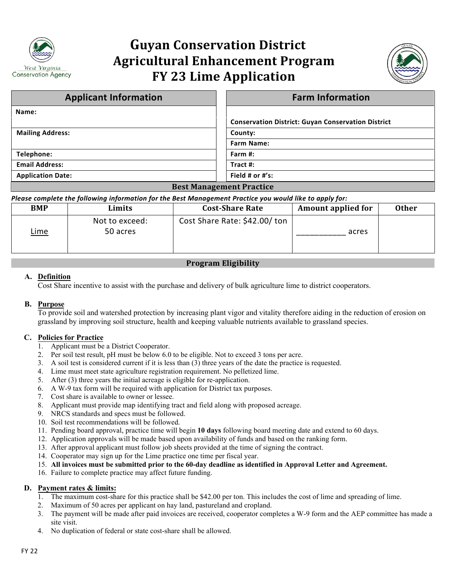

# **Guyan Conservation District Agricultural Enhancement Program FY 23 Lime Application**



| <b>Applicant Information</b> | <b>Farm Information</b>                                   |  |  |  |
|------------------------------|-----------------------------------------------------------|--|--|--|
| Name:                        |                                                           |  |  |  |
|                              | <b>Conservation District: Guyan Conservation District</b> |  |  |  |
| <b>Mailing Address:</b>      | County:                                                   |  |  |  |
|                              | <b>Farm Name:</b>                                         |  |  |  |
| Telephone:                   | Farm #:                                                   |  |  |  |
| <b>Email Address:</b>        | Tract #:                                                  |  |  |  |
| <b>Application Date:</b>     | Field # or $\#$ 's:                                       |  |  |  |
| ____                         |                                                           |  |  |  |

#### **Best Management Practice**

#### *Please complete the following information for the Best Management Practice you would like to apply for:*

| <b>BMP</b>  | Limits                     | <b>Cost-Share Rate</b>        | <b>Amount applied for</b> | <b>Other</b> |
|-------------|----------------------------|-------------------------------|---------------------------|--------------|
| <u>Lime</u> | Not to exceed:<br>50 acres | Cost Share Rate: \$42.00/ ton | acres                     |              |

## **Program Eligibility**

#### **A. Definition**

Cost Share incentive to assist with the purchase and delivery of bulk agriculture lime to district cooperators.

#### **B. Purpose**

To provide soil and watershed protection by increasing plant vigor and vitality therefore aiding in the reduction of erosion on grassland by improving soil structure, health and keeping valuable nutrients available to grassland species.

#### **C. Policies for Practice**

- 1. Applicant must be a District Cooperator.
- 2. Per soil test result, pH must be below 6.0 to be eligible. Not to exceed 3 tons per acre.
- 3. A soil test is considered current if it is less than (3) three years of the date the practice is requested.
- 4. Lime must meet state agriculture registration requirement. No pelletized lime.
- 5. After (3) three years the initial acreage is eligible for re-application.
- 6. A W-9 tax form will be required with application for District tax purposes.
- 7. Cost share is available to owner or lessee.
- 8. Applicant must provide map identifying tract and field along with proposed acreage.
- 9. NRCS standards and specs must be followed.
- 10. Soil test recommendations will be followed.
- 11. Pending board approval, practice time will begin **10 days** following board meeting date and extend to 60 days.
- 12. Application approvals will be made based upon availability of funds and based on the ranking form.
- 13. After approval applicant must follow job sheets provided at the time of signing the contract.
- 14. Cooperator may sign up for the Lime practice one time per fiscal year.
- 15. **All invoices must be submitted prior to the 60-day deadline as identified in Approval Letter and Agreement.**
- 16. Failure to complete practice may affect future funding.

#### **D. Payment rates & limits:**

- 1. The maximum cost-share for this practice shall be \$42.00 per ton. This includes the cost of lime and spreading of lime.
- 2. Maximum of 50 acres per applicant on hay land, pastureland and cropland.
- 3. The payment will be made after paid invoices are received, cooperator completes a W-9 form and the AEP committee has made a site visit.
- 4. No duplication of federal or state cost-share shall be allowed.